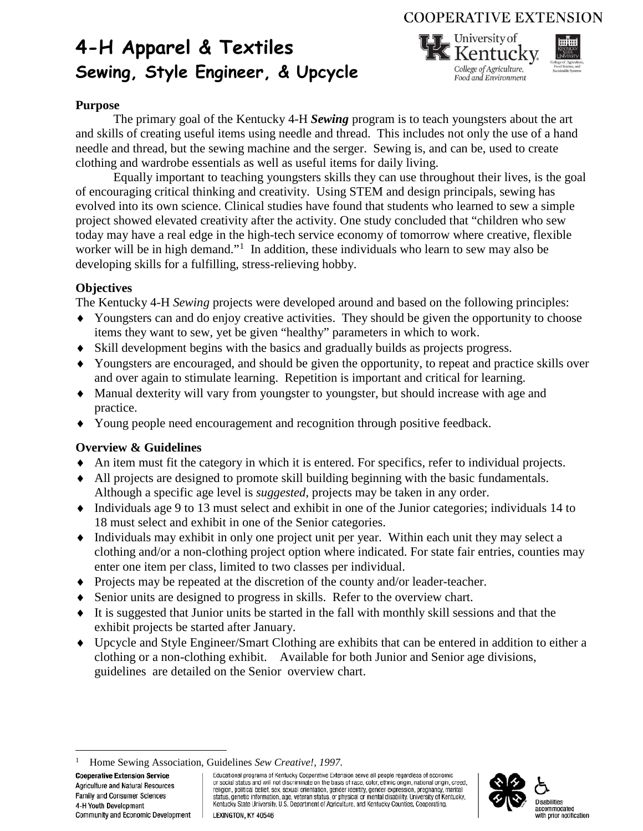### **COOPERATIVE EXTENSION**

# **4-H Apparel & Textiles Sewing, Style Engineer, & Upcycle**



#### **Purpose**

The primary goal of the Kentucky 4-H *Sewing* program is to teach youngsters about the art and skills of creating useful items using needle and thread. This includes not only the use of a hand needle and thread, but the sewing machine and the serger. Sewing is, and can be, used to create clothing and wardrobe essentials as well as useful items for daily living.

Equally important to teaching youngsters skills they can use throughout their lives, is the goal of encouraging critical thinking and creativity. Using STEM and design principals, sewing has evolved into its own science. Clinical studies have found that students who learned to sew a simple project showed elevated creativity after the activity. One study concluded that "children who sew today may have a real edge in the high-tech service economy of tomorrow where creative, flexible worker will be in high demand."<sup>[1](#page-0-0)</sup> In addition, these individuals who learn to sew may also be developing skills for a fulfilling, stress-relieving hobby.

#### **Objectives**

The Kentucky 4-H *Sewing* projects were developed around and based on the following principles:

- ♦ Youngsters can and do enjoy creative activities. They should be given the opportunity to choose items they want to sew, yet be given "healthy" parameters in which to work.
- ♦ Skill development begins with the basics and gradually builds as projects progress.
- ♦ Youngsters are encouraged, and should be given the opportunity, to repeat and practice skills over and over again to stimulate learning. Repetition is important and critical for learning.
- ♦ Manual dexterity will vary from youngster to youngster, but should increase with age and practice.
- ♦ Young people need encouragement and recognition through positive feedback.

#### **Overview & Guidelines**

- ♦ An item must fit the category in which it is entered. For specifics, refer to individual projects.
- ♦ All projects are designed to promote skill building beginning with the basic fundamentals. Although a specific age level is *suggested*, projects may be taken in any order.
- ♦ Individuals age 9 to 13 must select and exhibit in one of the Junior categories; individuals 14 to 18 must select and exhibit in one of the Senior categories.
- ♦ Individuals may exhibit in only one project unit per year. Within each unit they may select a clothing and/or a non-clothing project option where indicated. For state fair entries, counties may enter one item per class, limited to two classes per individual.
- ♦ Projects may be repeated at the discretion of the county and/or leader-teacher.
- ♦ Senior units are designed to progress in skills. Refer to the overview chart.
- ♦ It is suggested that Junior units be started in the fall with monthly skill sessions and that the exhibit projects be started after January.
- ♦ Upcycle and Style Engineer/Smart Clothing are exhibits that can be entered in addition to either a clothing or a non-clothing exhibit. Available for both Junior and Senior age divisions, guidelines are detailed on the Senior overview chart.

<span id="page-0-0"></span>**Cooperative Extension Service** Agriculture and Natural Resources Family and Consumer Sciences 4-H Youth Development Community and Economic Development

Educational programs of Kentucky Cooperative Extension serve all people regardless of economic or social status and will not discriminate on the basis of race, color, ethnic origin, national origin, creed, religion, political belief, sex, sexual orientation, gender identity, gender expression, pregnancy, marital status, genetic information, age, veteran status, or physical or mental disability. University of Kentucky, Kentucky, Kentucky, Kentucky, Kentucky, Kentucky, Kentucky, Kentucky, Kentucky, Kentucky, Kentucky, Charles Univer





 $\frac{1}{1}$ <sup>1</sup> Home Sewing Association, Guidelines *Sew Creative!*, 1997.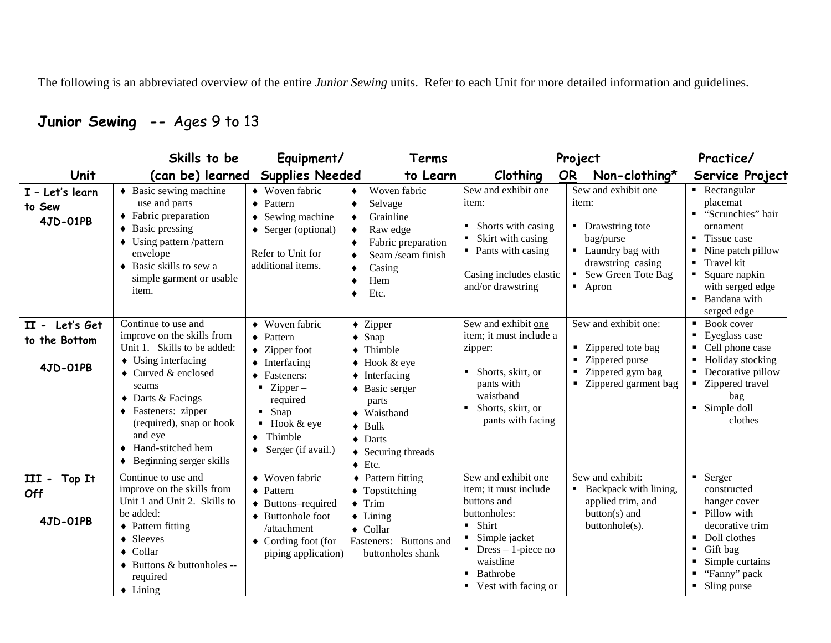The following is an abbreviated overview of the entire *Junior Sewing* units. Refer to each Unit for more detailed information and guidelines.

## **Junior Sewing --** Ages 9 to 13

|                                             | Skills to be                                                                                                                                                                                                                                                                                                       | Equipment/                                                                                                                                                                                                                             | Terms                                                                                                                                                                                                                                                                               | Project                                                                                                                                                                                            |                                                                                                                                               | Practice/                                                                                                                                                                        |
|---------------------------------------------|--------------------------------------------------------------------------------------------------------------------------------------------------------------------------------------------------------------------------------------------------------------------------------------------------------------------|----------------------------------------------------------------------------------------------------------------------------------------------------------------------------------------------------------------------------------------|-------------------------------------------------------------------------------------------------------------------------------------------------------------------------------------------------------------------------------------------------------------------------------------|----------------------------------------------------------------------------------------------------------------------------------------------------------------------------------------------------|-----------------------------------------------------------------------------------------------------------------------------------------------|----------------------------------------------------------------------------------------------------------------------------------------------------------------------------------|
| Unit                                        | (can be) learned                                                                                                                                                                                                                                                                                                   | <b>Supplies Needed</b>                                                                                                                                                                                                                 | to Learn                                                                                                                                                                                                                                                                            | Clothing                                                                                                                                                                                           | <b>OR</b><br>Non-clothing*                                                                                                                    | Service Project                                                                                                                                                                  |
| I - Let's learn<br>to Sew<br>4JD-01PB       | $\triangle$ Basic sewing machine<br>use and parts<br>• Fabric preparation<br>$\triangleleft$ Basic pressing<br>$\bullet$ Using pattern /pattern<br>envelope<br>• Basic skills to sew a<br>simple garment or usable<br>item.                                                                                        | • Woven fabric<br>$\bullet$ Pattern<br>$\bullet$ Sewing machine<br>$\triangle$ Serger (optional)<br>٠<br>Refer to Unit for<br>additional items.                                                                                        | Woven fabric<br>٠<br>Selvage<br>٠<br>Grainline<br>٠<br>Raw edge<br>٠<br>Fabric preparation<br>Seam /seam finish<br>٠<br>Casing<br>٠<br>Hem<br>٠<br>Etc.<br>٠                                                                                                                        | Sew and exhibit one<br>item:<br>Shorts with casing<br>Skirt with casing<br>• Pants with casing<br>Casing includes elastic<br>and/or drawstring                                                     | Sew and exhibit one<br>item:<br>• Drawstring tote<br>bag/purse<br>• Laundry bag with<br>drawstring casing<br>Sew Green Tote Bag<br>Apron<br>٠ | • Rectangular<br>placemat<br>"Scrunchies" hair<br>ornament<br>Tissue case<br>Nine patch pillow<br>Travel kit<br>Square napkin<br>with serged edge<br>Bandana with<br>serged edge |
| II - Let's Get<br>to the Bottom<br>4JD-01PB | Continue to use and<br>improve on the skills from<br>Unit 1. Skills to be added:<br>$\triangle$ Using interfacing<br>$\triangle$ Curved & enclosed<br>seams<br>$\triangle$ Darts & Facings<br>• Fasteners: zipper<br>(required), snap or hook<br>and eye<br>Hand-stitched hem<br>$\bullet$ Beginning serger skills | • Woven fabric<br>$\blacklozenge$ Pattern<br>$\blacklozenge$ Zipper foot<br>$\blacklozenge$ Interfacing<br>◆ Fasteners:<br>$Zipper-$<br>required<br>Snap<br>$\blacksquare$ Hook & eye<br>Thimble<br>$\blacklozenge$ Serger (if avail.) | $\triangleleft$ Zipper<br>$\bullet$ Snap<br>$\blacklozenge$ Thimble<br>$\bullet$ Hook & eye<br>$\bullet$ Interfacing<br>◆ Basic serger<br>parts<br>$\blacklozenge$ Waistband<br>$\triangleleft$ Bulk<br>$\bullet$ Darts<br>$\triangleleft$ Securing threads<br>$\blacklozenge$ Etc. | Sew and exhibit one<br>item; it must include a<br>zipper:<br>Shorts, skirt, or<br>٠<br>pants with<br>waistband<br>Shorts, skirt, or<br>pants with facing                                           | Sew and exhibit one:<br>• Zippered tote bag<br>Zippered purse<br>Zippered gym bag<br>Zippered garment bag                                     | Book cover<br>Eyeglass case<br>Cell phone case<br>Holiday stocking<br>Decorative pillow<br>Zippered travel<br>bag<br>• Simple doll<br>clothes                                    |
| Top It<br>III -<br>Off<br>4JD-01PB          | Continue to use and<br>improve on the skills from<br>Unit 1 and Unit 2. Skills to<br>be added:<br>♦ Pattern fitting<br>$\triangleleft$ Sleeves<br>$\triangle$ Collar<br>♦ Buttons & buttonholes --<br>required<br>$\triangle$ Lining                                                                               | • Woven fabric<br>$\blacklozenge$ Pattern<br>$\blacklozenge$ Buttons-required<br>♦ Buttonhole foot<br>/attachment<br>$\blacklozenge$ Cording foot (for<br>piping application)                                                          | $\blacklozenge$ Pattern fitting<br>• Topstitching<br>$\blacklozenge$ Trim<br>$\triangle$ Lining<br>$\triangle$ Collar<br>Fasteners: Buttons and<br>buttonholes shank                                                                                                                | Sew and exhibit one<br>item; it must include<br>buttons and<br>buttonholes:<br>Shirt<br>$\blacksquare$<br>Simple jacket<br>$Dress - 1$ -piece no<br>waistline<br>Bathrobe<br>• Vest with facing or | Sew and exhibit:<br>Backpack with lining,<br>applied trim, and<br>button(s) and<br>buttonhole(s).                                             | • Serger<br>constructed<br>hanger cover<br>Pillow with<br>decorative trim<br>Doll clothes<br>Gift bag<br>Simple curtains<br>"Fanny" pack<br>Sling purse                          |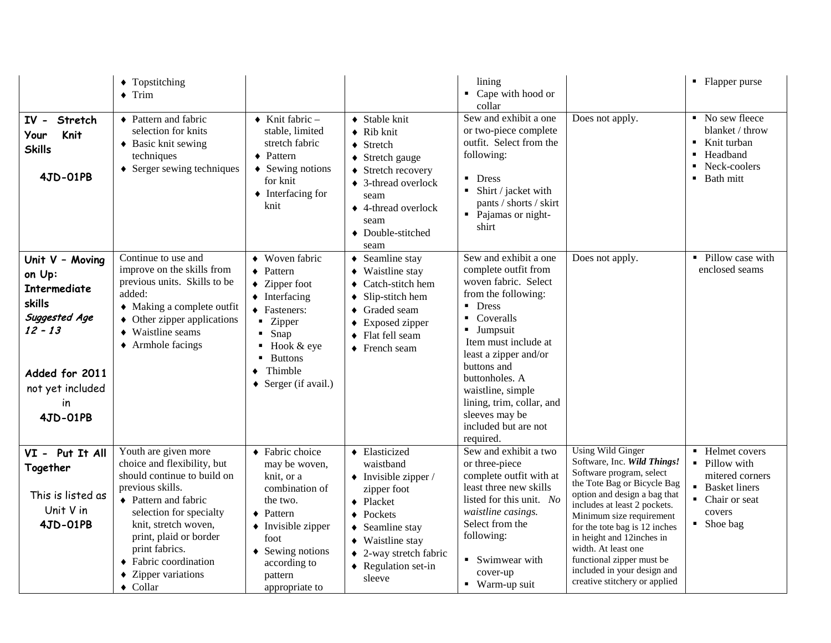|                                                                                                                                                  | • Topstitching<br>$\bullet$ Trim                                                                                                                                                                                                                                                          |                                                                                                                                                                                                                                                                       |                                                                                                                                                                                                                                                           | lining<br>Cape with hood or                                                                                                                                                                                                                                                                                                                          |                                                                                                                                                                                                                                                                                                                                                                                                  |                                                                                                                                                 |
|--------------------------------------------------------------------------------------------------------------------------------------------------|-------------------------------------------------------------------------------------------------------------------------------------------------------------------------------------------------------------------------------------------------------------------------------------------|-----------------------------------------------------------------------------------------------------------------------------------------------------------------------------------------------------------------------------------------------------------------------|-----------------------------------------------------------------------------------------------------------------------------------------------------------------------------------------------------------------------------------------------------------|------------------------------------------------------------------------------------------------------------------------------------------------------------------------------------------------------------------------------------------------------------------------------------------------------------------------------------------------------|--------------------------------------------------------------------------------------------------------------------------------------------------------------------------------------------------------------------------------------------------------------------------------------------------------------------------------------------------------------------------------------------------|-------------------------------------------------------------------------------------------------------------------------------------------------|
| $IV -$<br>Stretch<br>Knit<br>Your<br><b>Skills</b><br>4JD-01PB                                                                                   | • Pattern and fabric<br>selection for knits<br>• Basic knit sewing<br>techniques<br>$\triangle$ Serger sewing techniques                                                                                                                                                                  | $\bullet$ Knit fabric -<br>stable, limited<br>stretch fabric<br>$\triangle$ Pattern<br>$\triangle$ Sewing notions<br>for knit<br>$\blacklozenge$ Interfacing for<br>knit                                                                                              | ◆ Stable knit<br>$\blacklozenge$ Rib knit<br>$\triangleleft$ Stretch<br>◆ Stretch gauge<br>♦ Stretch recovery<br>♦ 3-thread overlock<br>seam<br>♦ 4-thread overlock<br>seam<br>• Double-stitched<br>seam                                                  | collar<br>Sew and exhibit a one<br>or two-piece complete<br>outfit. Select from the<br>following:<br>$\blacksquare$<br><b>Dress</b><br>Shirt / jacket with<br>$\blacksquare$<br>pants / shorts / skirt<br>Pajamas or night-<br>shirt                                                                                                                 | Does not apply.                                                                                                                                                                                                                                                                                                                                                                                  | $\blacksquare$ No sew fleece<br>blanket / throw<br>Knit turban<br>$\blacksquare$<br>Headband<br>$\blacksquare$<br>• Neck-coolers<br>• Bath mitt |
| Unit V - Moving<br>on Up:<br><b>Intermediate</b><br>skills<br>Suggested Age<br>$12 - 13$<br>Added for 2011<br>not yet included<br>in<br>4JD-01PB | Continue to use and<br>improve on the skills from<br>previous units. Skills to be<br>added:<br>• Making a complete outfit<br>• Other zipper applications<br>• Waistline seams<br>$\triangle$ Armhole facings                                                                              | • Woven fabric<br>$\triangle$ Pattern<br>$\blacklozenge$ Zipper foot<br>$\blacklozenge$ Interfacing<br>◆ Fasteners:<br>• Zipper<br>Snap<br>$\blacksquare$<br>Hook & eye<br><b>Buttons</b><br>$\blacksquare$<br>Thimble<br>$\bullet$<br>$\triangle$ Serger (if avail.) | • Seamline stay<br>$\blacklozenge$ Waistline stay<br>$\triangleleft$ Catch-stitch hem<br>$\bullet$ Slip-stitch hem<br>◆ Graded seam<br>• Exposed zipper<br>• Flat fell seam<br>$\bullet$ French seam                                                      | Sew and exhibit a one<br>complete outfit from<br>woven fabric. Select<br>from the following:<br>$\blacksquare$ Dress<br>Coveralls<br>٠<br><b>Jumpsuit</b><br>Item must include at<br>least a zipper and/or<br>buttons and<br>buttonholes. A<br>waistline, simple<br>lining, trim, collar, and<br>sleeves may be<br>included but are not<br>required. | Does not apply.                                                                                                                                                                                                                                                                                                                                                                                  | • Pillow case with<br>enclosed seams                                                                                                            |
| VI - Put It All<br>Together<br>This is listed as<br>Unit V in<br>4JD-01PB                                                                        | Youth are given more<br>choice and flexibility, but<br>should continue to build on<br>previous skills.<br>• Pattern and fabric<br>selection for specialty<br>knit, stretch woven,<br>print, plaid or border<br>print fabrics.<br>• Fabric coordination<br>• Zipper variations<br>• Collar | ◆ Fabric choice<br>may be woven,<br>knit, or a<br>combination of<br>the two.<br>$\bullet$ Pattern<br>• Invisible zipper<br>foot<br>$\triangle$ Sewing notions<br>according to<br>pattern<br>appropriate to                                                            | • Elasticized<br>waistband<br>$\bullet$ Invisible zipper /<br>zipper foot<br>• Placket<br>$\blacklozenge$ Pockets<br>$\triangleleft$ Seamline stay<br>$\blacklozenge$ Waistline stay<br>$\triangle$ 2-way stretch fabric<br>• Regulation set-in<br>sleeve | Sew and exhibit a two<br>or three-piece<br>complete outfit with at<br>least three new skills<br>listed for this unit. No<br>waistline casings.<br>Select from the<br>following:<br>Swimwear with<br>٠<br>cover-up<br>• Warm-up suit                                                                                                                  | <b>Using Wild Ginger</b><br>Software, Inc. Wild Things!<br>Software program, select<br>the Tote Bag or Bicycle Bag<br>option and design a bag that<br>includes at least 2 pockets.<br>Minimum size requirement<br>for the tote bag is 12 inches<br>in height and 12inches in<br>width. At least one<br>functional zipper must be<br>included in your design and<br>creative stitchery or applied | • Helmet covers<br>Pillow with<br>mitered corners<br>• Basket liners<br>• Chair or seat<br>covers<br>• Shoe bag                                 |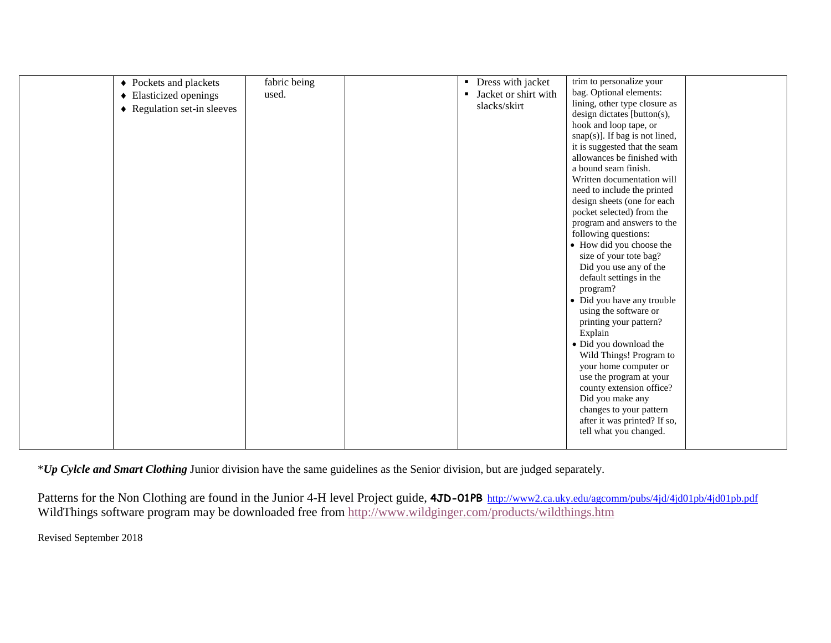| • Pockets and plackets      | fabric being | $\blacksquare$ | Dress with jacket    | trim to personalize your          |  |
|-----------------------------|--------------|----------------|----------------------|-----------------------------------|--|
| • Elasticized openings      | used.        | ٠              | Jacket or shirt with | bag. Optional elements:           |  |
| • Regulation set-in sleeves |              |                | slacks/skirt         | lining, other type closure as     |  |
|                             |              |                |                      | design dictates [button(s),       |  |
|                             |              |                |                      | hook and loop tape, or            |  |
|                             |              |                |                      | $snap(s)]$ . If bag is not lined, |  |
|                             |              |                |                      | it is suggested that the seam     |  |
|                             |              |                |                      | allowances be finished with       |  |
|                             |              |                |                      | a bound seam finish.              |  |
|                             |              |                |                      | Written documentation will        |  |
|                             |              |                |                      | need to include the printed       |  |
|                             |              |                |                      | design sheets (one for each       |  |
|                             |              |                |                      | pocket selected) from the         |  |
|                             |              |                |                      | program and answers to the        |  |
|                             |              |                |                      |                                   |  |
|                             |              |                |                      | following questions:              |  |
|                             |              |                |                      | • How did you choose the          |  |
|                             |              |                |                      | size of your tote bag?            |  |
|                             |              |                |                      | Did you use any of the            |  |
|                             |              |                |                      | default settings in the           |  |
|                             |              |                |                      | program?                          |  |
|                             |              |                |                      | • Did you have any trouble        |  |
|                             |              |                |                      | using the software or             |  |
|                             |              |                |                      | printing your pattern?            |  |
|                             |              |                |                      | Explain                           |  |
|                             |              |                |                      | • Did you download the            |  |
|                             |              |                |                      | Wild Things! Program to           |  |
|                             |              |                |                      | your home computer or             |  |
|                             |              |                |                      | use the program at your           |  |
|                             |              |                |                      | county extension office?          |  |
|                             |              |                |                      |                                   |  |
|                             |              |                |                      | Did you make any                  |  |
|                             |              |                |                      | changes to your pattern           |  |
|                             |              |                |                      | after it was printed? If so,      |  |
|                             |              |                |                      | tell what you changed.            |  |
|                             |              |                |                      |                                   |  |

\**Up Cylcle and Smart Clothing* Junior division have the same guidelines as the Senior division, but are judged separately.

Patterns for the Non Clothing are found in the Junior 4-H level Project guide, 4JD-01PB <http://www2.ca.uky.edu/agcomm/pubs/4jd/4jd01pb/4jd01pb.pdf> WildThings software program may be downloaded free from<http://www.wildginger.com/products/wildthings.htm>

Revised September 2018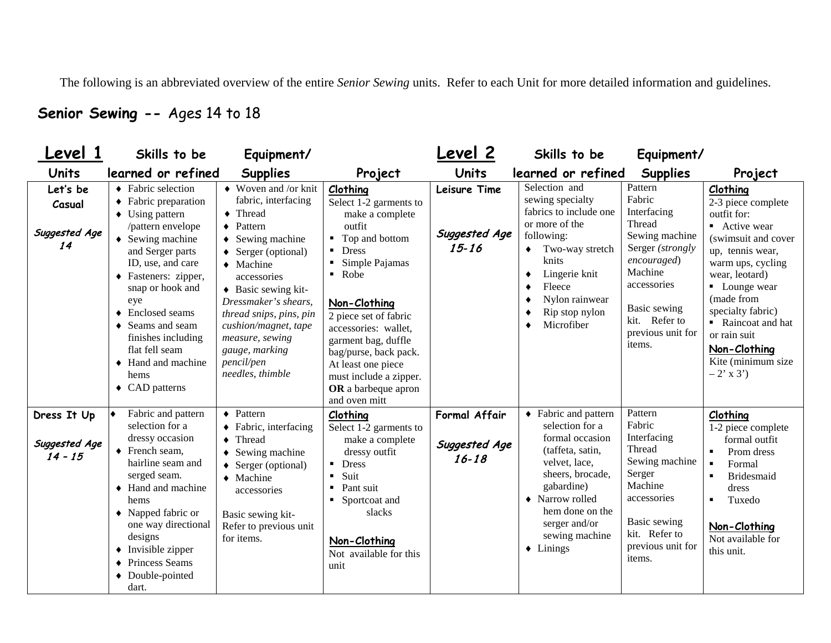The following is an abbreviated overview of the entire *Senior Sewing* units. Refer to each Unit for more detailed information and guidelines.

### **Senior Sewing --** Ages 14 to 18

| Level 1                                   | Skills to be                                                                                                                                                                                                                                                                                                                                                                         | Equipment/                                                                                                                                                                                                                                                                                                                                                      |                                                                                                                                                                                                                                                                                                                                                                                                 | Level 2                                     | Skills to be                                                                                                                                                                                                                      | Equipment/                                                                                                                                                                                |                                                                                                                                                                                                                                                                                               |
|-------------------------------------------|--------------------------------------------------------------------------------------------------------------------------------------------------------------------------------------------------------------------------------------------------------------------------------------------------------------------------------------------------------------------------------------|-----------------------------------------------------------------------------------------------------------------------------------------------------------------------------------------------------------------------------------------------------------------------------------------------------------------------------------------------------------------|-------------------------------------------------------------------------------------------------------------------------------------------------------------------------------------------------------------------------------------------------------------------------------------------------------------------------------------------------------------------------------------------------|---------------------------------------------|-----------------------------------------------------------------------------------------------------------------------------------------------------------------------------------------------------------------------------------|-------------------------------------------------------------------------------------------------------------------------------------------------------------------------------------------|-----------------------------------------------------------------------------------------------------------------------------------------------------------------------------------------------------------------------------------------------------------------------------------------------|
| <b>Units</b>                              | learned or refined                                                                                                                                                                                                                                                                                                                                                                   | <b>Supplies</b>                                                                                                                                                                                                                                                                                                                                                 | Project                                                                                                                                                                                                                                                                                                                                                                                         | Units                                       | learned or refined                                                                                                                                                                                                                | <b>Supplies</b>                                                                                                                                                                           | Project                                                                                                                                                                                                                                                                                       |
| Let's be<br>Casual<br>Suggested Age<br>14 | ◆ Fabric selection<br>• Fabric preparation<br>$\triangleleft$ Using pattern<br>/pattern envelope<br>$\bullet$ Sewing machine<br>and Serger parts<br>ID, use, and care<br>◆ Fasteners: zipper,<br>snap or hook and<br>eye<br>◆ Enclosed seams<br>◆ Seams and seam<br>finishes including<br>flat fell seam<br>$\triangleleft$ Hand and machine<br>hems<br>$\triangleleft$ CAD patterns | $\blacklozenge$ Woven and /or knit<br>fabric, interfacing<br>• Thread<br>Pattern<br>$\bullet$<br>Sewing machine<br>Serger (optional)<br>$\bullet$ Machine<br>accessories<br>$\triangleleft$ Basic sewing kit-<br>Dressmaker's shears,<br>thread snips, pins, pin<br>cushion/magnet, tape<br>measure, sewing<br>gauge, marking<br>pencil/pen<br>needles, thimble | Clothing<br>Select 1-2 garments to<br>make a complete<br>outfit<br>Top and bottom<br>٠<br><b>Dress</b><br>$\blacksquare$<br>Simple Pajamas<br>$\blacksquare$<br>Robe<br>$\blacksquare$<br>Non-Clothing<br>2 piece set of fabric<br>accessories: wallet,<br>garment bag, duffle<br>bag/purse, back pack.<br>At least one piece<br>must include a zipper.<br>OR a barbeque apron<br>and oven mitt | Leisure Time<br>Suggested Age<br>$15 - 16$  | Selection and<br>sewing specialty<br>fabrics to include one<br>or more of the<br>following:<br>Two-way stretch<br>knits<br>Lingerie knit<br>٠<br>Fleece<br>Nylon rainwear<br>Rip stop nylon<br>Microfiber                         | Pattern<br>Fabric<br>Interfacing<br>Thread<br>Sewing machine<br>Serger (strongly<br>encouraged)<br>Machine<br>accessories<br>Basic sewing<br>kit. Refer to<br>previous unit for<br>items. | Clothing<br>2-3 piece complete<br>outfit for:<br>• Active wear<br>(swimsuit and cover<br>up, tennis wear,<br>warm ups, cycling<br>wear, leotard)<br>• Lounge wear<br>(made from<br>specialty fabric)<br>Raincoat and hat<br>or rain suit<br>Non-Clothing<br>Kite (minimum size<br>$-2'$ x 3') |
| Dress It Up<br>Suggested Age<br>$14 - 15$ | Fabric and pattern<br>♦<br>selection for a<br>dressy occasion<br>$\blacklozenge$ French seam,<br>hairline seam and<br>serged seam.<br>$\triangle$ Hand and machine<br>hems<br>$\blacklozenge$ Napped fabric or<br>one way directional<br>designs<br>$\blacklozenge$ Invisible zipper<br>♦ Princess Seams<br>• Double-pointed<br>dart.                                                | $\blacklozenge$ Pattern<br>• Fabric, interfacing<br>Thread<br>Sewing machine<br>Serger (optional)<br>$\blacklozenge$ Machine<br>accessories<br>Basic sewing kit-<br>Refer to previous unit<br>for items.                                                                                                                                                        | Clothing<br>Select 1-2 garments to<br>make a complete<br>dressy outfit<br><b>Dress</b><br>Suit<br>$\blacksquare$<br>Pant suit<br>$\blacksquare$<br>Sportcoat and<br>slacks<br>Non-Clothing<br>Not available for this<br>unit                                                                                                                                                                    | Formal Affair<br>Suggested Age<br>$16 - 18$ | • Fabric and pattern<br>selection for a<br>formal occasion<br>(taffeta, satin,<br>velvet, lace,<br>sheers, brocade,<br>gabardine)<br>• Narrow rolled<br>hem done on the<br>serger and/or<br>sewing machine<br>$\triangle$ Linings | Pattern<br>Fabric<br>Interfacing<br>Thread<br>Sewing machine<br>Serger<br>Machine<br>accessories<br>Basic sewing<br>kit. Refer to<br>previous unit for<br>items.                          | Clothing<br>1-2 piece complete<br>formal outfit<br>Prom dress<br>Formal<br><b>Bridesmaid</b><br>dress<br>Tuxedo<br>٠<br>Non-Clothing<br>Not available for<br>this unit.                                                                                                                       |